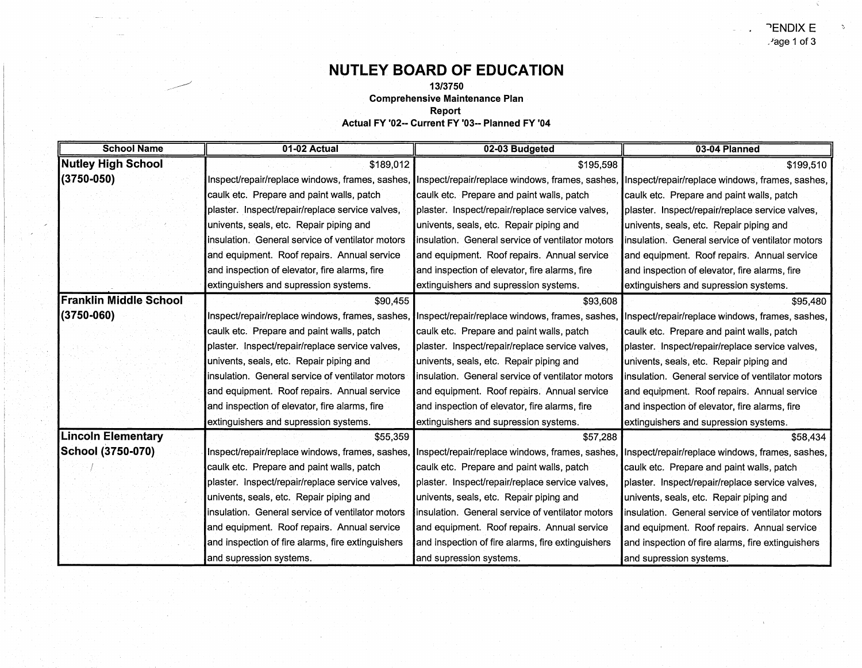## **NUTLEY BOARD OF EDUCATION**

**13/3750** 

-~

**Comprehensive Maintenance Plan** 

**Report** 

**Actual FY '02-- Current FY** '03-- **Planned FY '04** 

| <b>School Name</b>            | 01-02 Actual                                      | 02-03 Budgeted                                    | 03-04 Planned                                                                                   |
|-------------------------------|---------------------------------------------------|---------------------------------------------------|-------------------------------------------------------------------------------------------------|
| <b>Nutley High School</b>     | \$189,012                                         | \$195,598                                         | \$199,510                                                                                       |
| $(3750 - 050)$                | Inspect/repair/replace windows, frames, sashes,   | Inspect/repair/replace windows, frames, sashes,   | Inspect/repair/replace windows, frames, sashes,                                                 |
|                               | caulk etc. Prepare and paint walls, patch         | caulk etc. Prepare and paint walls, patch         | caulk etc. Prepare and paint walls, patch                                                       |
|                               | plaster. Inspect/repair/replace service valves,   | plaster. Inspect/repair/replace service valves,   | plaster. Inspect/repair/replace service valves,                                                 |
|                               | univents, seals, etc. Repair piping and           | univents, seals, etc. Repair piping and           | univents, seals, etc. Repair piping and                                                         |
|                               | insulation. General service of ventilator motors  | insulation. General service of ventilator motors  | insulation. General service of ventilator motors                                                |
|                               | and equipment. Roof repairs. Annual service       | and equipment. Roof repairs. Annual service       | and equipment. Roof repairs. Annual service                                                     |
|                               | and inspection of elevator, fire alarms, fire     | and inspection of elevator, fire alarms, fire     | and inspection of elevator, fire alarms, fire                                                   |
|                               | extinguishers and supression systems.             | extinguishers and supression systems.             | extinguishers and supression systems.                                                           |
| <b>Franklin Middle School</b> | \$90,455                                          | \$93,608                                          | \$95,480                                                                                        |
| $(3750 - 060)$                | Inspect/repair/replace windows, frames, sashes,   | Inspect/repair/replace windows, frames, sashes,   | Inspect/repair/replace windows, frames, sashes,                                                 |
|                               | caulk etc. Prepare and paint walls, patch         | caulk etc. Prepare and paint walls, patch         | caulk etc. Prepare and paint walls, patch                                                       |
|                               | plaster. Inspect/repair/replace service valves,   | plaster. Inspect/repair/replace service valves,   | plaster. Inspect/repair/replace service valves,                                                 |
|                               | univents, seals, etc. Repair piping and           | univents, seals, etc. Repair piping and           | univents, seals, etc. Repair piping and                                                         |
|                               | insulation. General service of ventilator motors  | insulation. General service of ventilator motors  | insulation. General service of ventilator motors                                                |
|                               | and equipment. Roof repairs. Annual service       | and equipment. Roof repairs. Annual service       | and equipment. Roof repairs. Annual service                                                     |
|                               | and inspection of elevator, fire alarms, fire     | and inspection of elevator, fire alarms, fire     | and inspection of elevator, fire alarms, fire                                                   |
|                               | extinguishers and supression systems.             | extinguishers and supression systems.             | extinguishers and supression systems.                                                           |
| <b>Lincoln Elementary</b>     | \$55,359                                          | \$57,288                                          | \$58,434                                                                                        |
| School (3750-070)             | Inspect/repair/replace windows, frames, sashes,   |                                                   | Inspect/repair/replace windows, frames, sashes, Inspect/repair/replace windows, frames, sashes, |
|                               | caulk etc. Prepare and paint walls, patch         | caulk etc. Prepare and paint walls, patch         | caulk etc. Prepare and paint walls, patch                                                       |
|                               | plaster. Inspect/repair/replace service valves,   | plaster. Inspect/repair/replace service valves,   | plaster. Inspect/repair/replace service valves,                                                 |
|                               | univents, seals, etc. Repair piping and           | univents, seals, etc. Repair piping and           | univents, seals, etc. Repair piping and                                                         |
|                               | insulation. General service of ventilator motors  | insulation. General service of ventilator motors  | insulation. General service of ventilator motors                                                |
|                               | and equipment. Roof repairs. Annual service       | and equipment. Roof repairs. Annual service       | and equipment. Roof repairs. Annual service                                                     |
|                               | and inspection of fire alarms, fire extinguishers | and inspection of fire alarms, fire extinguishers | and inspection of fire alarms, fire extinguishers                                               |
|                               | and supression systems.                           | and supression systems.                           | and supression systems.                                                                         |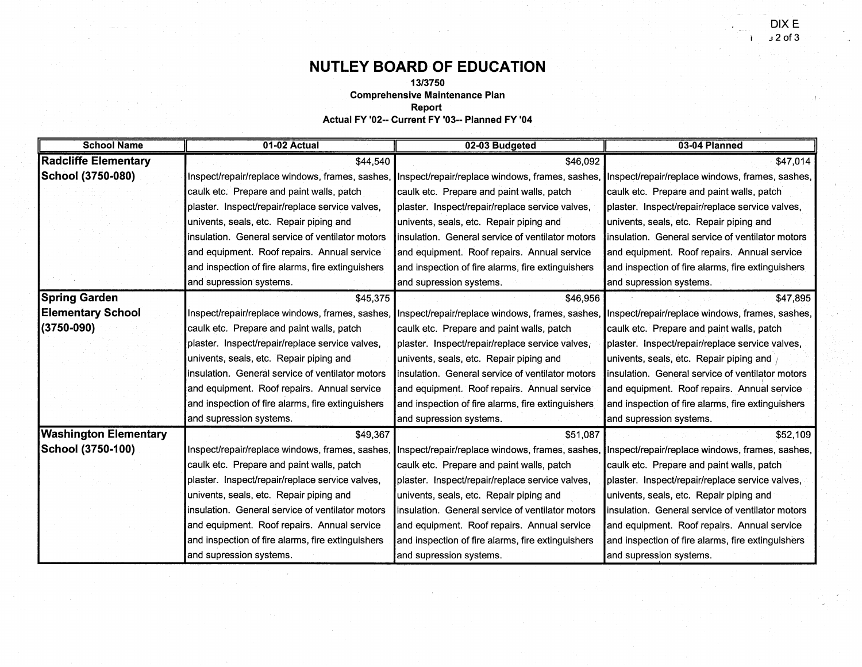$\mathbf{r}$ 

## **NUTLEY BOARD OF EDUCATION**

**13/3750** 

**Comprehensive Maintenance Plan** 

**Report** 

**Actual FY '02-- Current FY '03-- Planned FY '04** 

| <b>School Name</b>           | 01-02 Actual                                      | 02-03 Budgeted                                    | 03-04 Planned                                                                                                                                   |
|------------------------------|---------------------------------------------------|---------------------------------------------------|-------------------------------------------------------------------------------------------------------------------------------------------------|
| <b>Radcliffe Elementary</b>  | \$44,540                                          | \$46,092                                          | \$47,014                                                                                                                                        |
| School (3750-080)            |                                                   |                                                   | Inspect/repair/replace windows, frames, sashes, Inspect/repair/replace windows, frames, sashes, Inspect/repair/replace windows, frames, sashes, |
|                              | caulk etc. Prepare and paint walls, patch         | caulk etc. Prepare and paint walls, patch         | caulk etc. Prepare and paint walls, patch                                                                                                       |
|                              | plaster. Inspect/repair/replace service valves,   | plaster. Inspect/repair/replace service valves,   | plaster. Inspect/repair/replace service valves,                                                                                                 |
|                              | univents, seals, etc. Repair piping and           | univents, seals, etc. Repair piping and           | univents, seals, etc. Repair piping and                                                                                                         |
|                              | insulation. General service of ventilator motors  | linsulation. General service of ventilator motors | linsulation. General service of ventilator motors                                                                                               |
|                              | and equipment. Roof repairs. Annual service       | and equipment. Roof repairs. Annual service       | and equipment. Roof repairs. Annual service                                                                                                     |
|                              | and inspection of fire alarms, fire extinguishers | and inspection of fire alarms, fire extinguishers | and inspection of fire alarms, fire extinguishers                                                                                               |
|                              | and supression systems.                           | and supression systems.                           | and supression systems.                                                                                                                         |
| <b>Spring Garden</b>         | \$45,375                                          | \$46,956                                          | \$47,895                                                                                                                                        |
| <b>Elementary School</b>     |                                                   |                                                   | Inspect/repair/replace windows, frames, sashes, Inspect/repair/replace windows, frames, sashes, Inspect/repair/replace windows, frames, sashes, |
| $(3750 - 090)$               | caulk etc. Prepare and paint walls, patch         | caulk etc. Prepare and paint walls, patch         | caulk etc. Prepare and paint walls, patch                                                                                                       |
|                              | plaster. Inspect/repair/replace service valves,   | plaster. Inspect/repair/replace service valves,   | plaster. Inspect/repair/replace service valves,                                                                                                 |
|                              | univents, seals, etc. Repair piping and           | univents, seals, etc. Repair piping and           | univents, seals, etc. Repair piping and /                                                                                                       |
|                              | insulation. General service of ventilator motors  | linsulation. General service of ventilator motors | Insulation. General service of ventilator motors                                                                                                |
|                              | and equipment. Roof repairs. Annual service       | and equipment. Roof repairs. Annual service       | and equipment. Roof repairs. Annual service                                                                                                     |
|                              | and inspection of fire alarms, fire extinguishers | and inspection of fire alarms, fire extinguishers | and inspection of fire alarms, fire extinguishers                                                                                               |
|                              | and supression systems.                           | and supression systems.                           | and supression systems.                                                                                                                         |
| <b>Washington Elementary</b> | \$49,367                                          | \$51,087                                          | \$52,109                                                                                                                                        |
| School (3750-100)            |                                                   |                                                   | Inspect/repair/replace windows, frames, sashes, Inspect/repair/replace windows, frames, sashes, Inspect/repair/replace windows, frames, sashes, |
|                              | caulk etc. Prepare and paint walls, patch         | caulk etc. Prepare and paint walls, patch         | caulk etc. Prepare and paint walls, patch                                                                                                       |
|                              | plaster. Inspect/repair/replace service valves,   | plaster. Inspect/repair/replace service valves,   | plaster. Inspect/repair/replace service valves,                                                                                                 |
|                              | univents, seals, etc. Repair piping and           | univents, seals, etc. Repair piping and           | univents, seals, etc. Repair piping and                                                                                                         |
|                              | insulation. General service of ventilator motors  | linsulation. General service of ventilator motors | linsulation. General service of ventilator motors                                                                                               |
|                              | and equipment. Roof repairs. Annual service       | and equipment. Roof repairs. Annual service       | and equipment. Roof repairs. Annual service                                                                                                     |
|                              | and inspection of fire alarms, fire extinguishers | and inspection of fire alarms, fire extinguishers | and inspection of fire alarms, fire extinguishers                                                                                               |
|                              | and supression systems.                           | and supression systems.                           | and supression systems.                                                                                                                         |